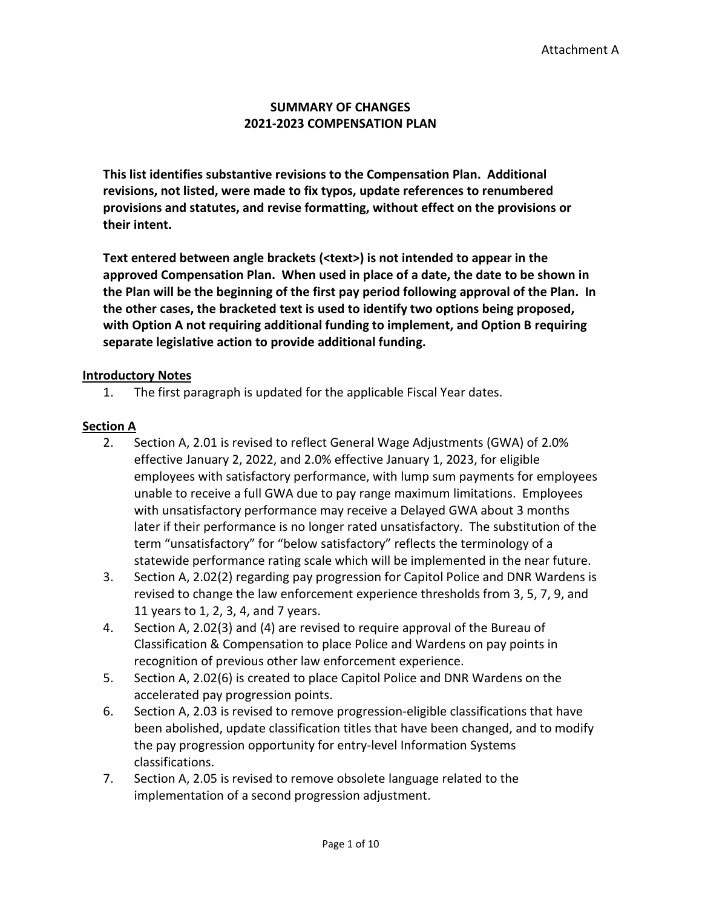#### **SUMMARY OF CHANGES 2021-2023 COMPENSATION PLAN**

**This list identifies substantive revisions to the Compensation Plan. Additional revisions, not listed, were made to fix typos, update references to renumbered provisions and statutes, and revise formatting, without effect on the provisions or their intent.** 

**Text entered between angle brackets (<text>) is not intended to appear in the approved Compensation Plan. When used in place of a date, the date to be shown in the Plan will be the beginning of the first pay period following approval of the Plan. In the other cases, the bracketed text is used to identify two options being proposed, with Option A not requiring additional funding to implement, and Option B requiring separate legislative action to provide additional funding.** 

#### **Introductory Notes**

1. The first paragraph is updated for the applicable Fiscal Year dates.

#### **Section A**

- 2. Section A, 2.01 is revised to reflect General Wage Adjustments (GWA) of 2.0% effective January 2, 2022, and 2.0% effective January 1, 2023, for eligible employees with satisfactory performance, with lump sum payments for employees unable to receive a full GWA due to pay range maximum limitations. Employees with unsatisfactory performance may receive a Delayed GWA about 3 months later if their performance is no longer rated unsatisfactory. The substitution of the term "unsatisfactory" for "below satisfactory" reflects the terminology of a statewide performance rating scale which will be implemented in the near future.
- 3. Section A, 2.02(2) regarding pay progression for Capitol Police and DNR Wardens is revised to change the law enforcement experience thresholds from 3, 5, 7, 9, and 11 years to 1, 2, 3, 4, and 7 years.
- 4. Section A, 2.02(3) and (4) are revised to require approval of the Bureau of Classification & Compensation to place Police and Wardens on pay points in recognition of previous other law enforcement experience.
- 5. Section A, 2.02(6) is created to place Capitol Police and DNR Wardens on the accelerated pay progression points.
- 6. Section A, 2.03 is revised to remove progression-eligible classifications that have been abolished, update classification titles that have been changed, and to modify the pay progression opportunity for entry-level Information Systems classifications.
- 7. Section A, 2.05 is revised to remove obsolete language related to the implementation of a second progression adjustment.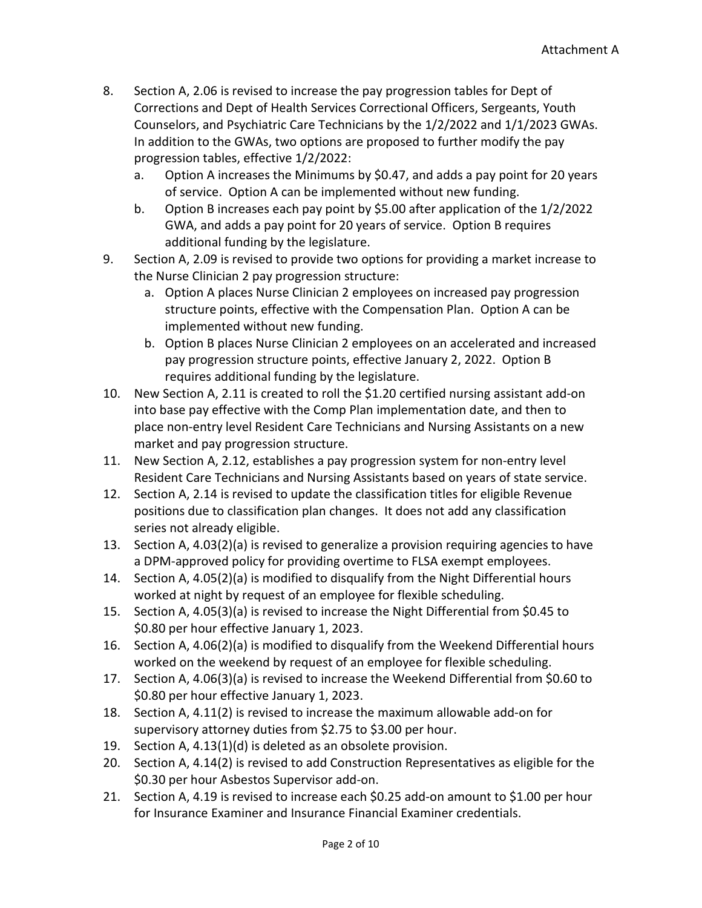- 8. Section A, 2.06 is revised to increase the pay progression tables for Dept of Corrections and Dept of Health Services Correctional Officers, Sergeants, Youth Counselors, and Psychiatric Care Technicians by the 1/2/2022 and 1/1/2023 GWAs. In addition to the GWAs, two options are proposed to further modify the pay progression tables, effective 1/2/2022:
	- a. Option A increases the Minimums by \$0.47, and adds a pay point for 20 years of service. Option A can be implemented without new funding.
	- b. Option B increases each pay point by \$5.00 after application of the 1/2/2022 GWA, and adds a pay point for 20 years of service. Option B requires additional funding by the legislature.
- 9. Section A, 2.09 is revised to provide two options for providing a market increase to the Nurse Clinician 2 pay progression structure:
	- a. Option A places Nurse Clinician 2 employees on increased pay progression structure points, effective with the Compensation Plan. Option A can be implemented without new funding.
	- b. Option B places Nurse Clinician 2 employees on an accelerated and increased pay progression structure points, effective January 2, 2022. Option B requires additional funding by the legislature.
- 10. New Section A, 2.11 is created to roll the \$1.20 certified nursing assistant add-on into base pay effective with the Comp Plan implementation date, and then to place non-entry level Resident Care Technicians and Nursing Assistants on a new market and pay progression structure.
- 11. New Section A, 2.12, establishes a pay progression system for non-entry level Resident Care Technicians and Nursing Assistants based on years of state service.
- 12. Section A, 2.14 is revised to update the classification titles for eligible Revenue positions due to classification plan changes. It does not add any classification series not already eligible.
- 13. Section A, 4.03(2)(a) is revised to generalize a provision requiring agencies to have a DPM-approved policy for providing overtime to FLSA exempt employees.
- 14. Section A, 4.05(2)(a) is modified to disqualify from the Night Differential hours worked at night by request of an employee for flexible scheduling.
- 15. Section A, 4.05(3)(a) is revised to increase the Night Differential from \$0.45 to \$0.80 per hour effective January 1, 2023.
- 16. Section A, 4.06(2)(a) is modified to disqualify from the Weekend Differential hours worked on the weekend by request of an employee for flexible scheduling.
- 17. Section A, 4.06(3)(a) is revised to increase the Weekend Differential from \$0.60 to \$0.80 per hour effective January 1, 2023.
- 18. Section A, 4.11(2) is revised to increase the maximum allowable add-on for supervisory attorney duties from \$2.75 to \$3.00 per hour.
- 19. Section A, 4.13(1)(d) is deleted as an obsolete provision.
- 20. Section A, 4.14(2) is revised to add Construction Representatives as eligible for the \$0.30 per hour Asbestos Supervisor add-on.
- 21. Section A, 4.19 is revised to increase each \$0.25 add-on amount to \$1.00 per hour for Insurance Examiner and Insurance Financial Examiner credentials.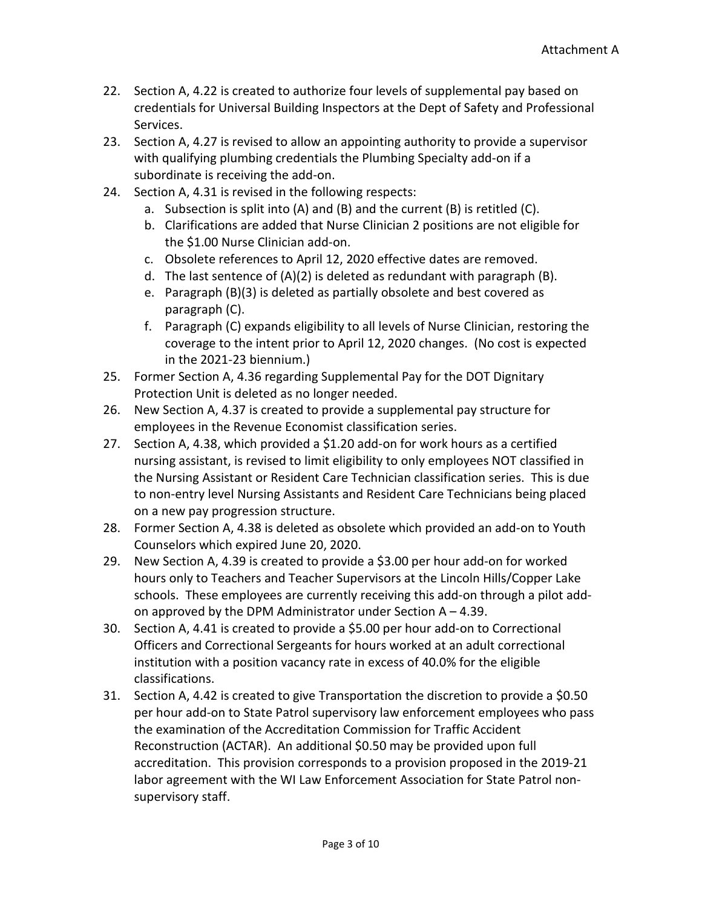- 22. Section A, 4.22 is created to authorize four levels of supplemental pay based on credentials for Universal Building Inspectors at the Dept of Safety and Professional Services.
- 23. Section A, 4.27 is revised to allow an appointing authority to provide a supervisor with qualifying plumbing credentials the Plumbing Specialty add-on if a subordinate is receiving the add-on.
- 24. Section A, 4.31 is revised in the following respects:
	- a. Subsection is split into (A) and (B) and the current (B) is retitled (C).
	- b. Clarifications are added that Nurse Clinician 2 positions are not eligible for the \$1.00 Nurse Clinician add-on.
	- c. Obsolete references to April 12, 2020 effective dates are removed.
	- d. The last sentence of (A)(2) is deleted as redundant with paragraph (B).
	- e. Paragraph (B)(3) is deleted as partially obsolete and best covered as paragraph (C).
	- f. Paragraph (C) expands eligibility to all levels of Nurse Clinician, restoring the coverage to the intent prior to April 12, 2020 changes. (No cost is expected in the 2021-23 biennium.)
- 25. Former Section A, 4.36 regarding Supplemental Pay for the DOT Dignitary Protection Unit is deleted as no longer needed.
- 26. New Section A, 4.37 is created to provide a supplemental pay structure for employees in the Revenue Economist classification series.
- 27. Section A, 4.38, which provided a \$1.20 add-on for work hours as a certified nursing assistant, is revised to limit eligibility to only employees NOT classified in the Nursing Assistant or Resident Care Technician classification series. This is due to non-entry level Nursing Assistants and Resident Care Technicians being placed on a new pay progression structure.
- 28. Former Section A, 4.38 is deleted as obsolete which provided an add-on to Youth Counselors which expired June 20, 2020.
- 29. New Section A, 4.39 is created to provide a \$3.00 per hour add-on for worked hours only to Teachers and Teacher Supervisors at the Lincoln Hills/Copper Lake schools. These employees are currently receiving this add-on through a pilot addon approved by the DPM Administrator under Section  $A - 4.39$ .
- 30. Section A, 4.41 is created to provide a \$5.00 per hour add-on to Correctional Officers and Correctional Sergeants for hours worked at an adult correctional institution with a position vacancy rate in excess of 40.0% for the eligible classifications.
- 31. Section A, 4.42 is created to give Transportation the discretion to provide a \$0.50 per hour add-on to State Patrol supervisory law enforcement employees who pass the examination of the Accreditation Commission for Traffic Accident Reconstruction (ACTAR). An additional \$0.50 may be provided upon full accreditation. This provision corresponds to a provision proposed in the 2019-21 labor agreement with the WI Law Enforcement Association for State Patrol nonsupervisory staff.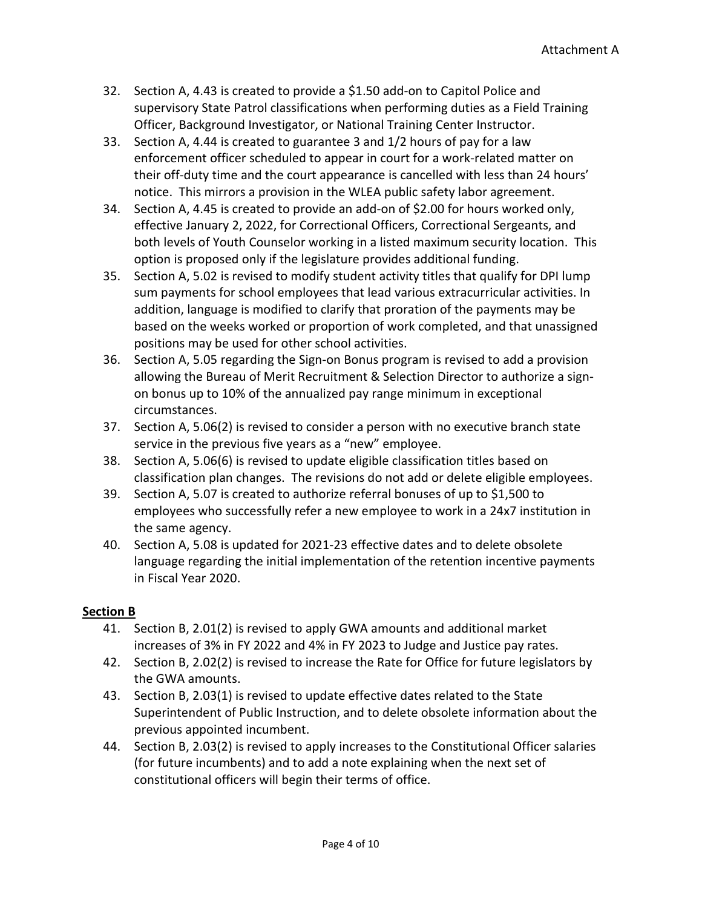- 32. Section A, 4.43 is created to provide a \$1.50 add-on to Capitol Police and supervisory State Patrol classifications when performing duties as a Field Training Officer, Background Investigator, or National Training Center Instructor.
- 33. Section A, 4.44 is created to guarantee 3 and 1/2 hours of pay for a law enforcement officer scheduled to appear in court for a work-related matter on their off-duty time and the court appearance is cancelled with less than 24 hours' notice. This mirrors a provision in the WLEA public safety labor agreement.
- 34. Section A, 4.45 is created to provide an add-on of \$2.00 for hours worked only, effective January 2, 2022, for Correctional Officers, Correctional Sergeants, and both levels of Youth Counselor working in a listed maximum security location. This option is proposed only if the legislature provides additional funding.
- 35. Section A, 5.02 is revised to modify student activity titles that qualify for DPI lump sum payments for school employees that lead various extracurricular activities. In addition, language is modified to clarify that proration of the payments may be based on the weeks worked or proportion of work completed, and that unassigned positions may be used for other school activities.
- 36. Section A, 5.05 regarding the Sign-on Bonus program is revised to add a provision allowing the Bureau of Merit Recruitment & Selection Director to authorize a signon bonus up to 10% of the annualized pay range minimum in exceptional circumstances.
- 37. Section A, 5.06(2) is revised to consider a person with no executive branch state service in the previous five years as a "new" employee.
- 38. Section A, 5.06(6) is revised to update eligible classification titles based on classification plan changes. The revisions do not add or delete eligible employees.
- 39. Section A, 5.07 is created to authorize referral bonuses of up to \$1,500 to employees who successfully refer a new employee to work in a 24x7 institution in the same agency.
- 40. Section A, 5.08 is updated for 2021-23 effective dates and to delete obsolete language regarding the initial implementation of the retention incentive payments in Fiscal Year 2020.

# **Section B**

- 41. Section B, 2.01(2) is revised to apply GWA amounts and additional market increases of 3% in FY 2022 and 4% in FY 2023 to Judge and Justice pay rates.
- 42. Section B, 2.02(2) is revised to increase the Rate for Office for future legislators by the GWA amounts.
- 43. Section B, 2.03(1) is revised to update effective dates related to the State Superintendent of Public Instruction, and to delete obsolete information about the previous appointed incumbent.
- 44. Section B, 2.03(2) is revised to apply increases to the Constitutional Officer salaries (for future incumbents) and to add a note explaining when the next set of constitutional officers will begin their terms of office.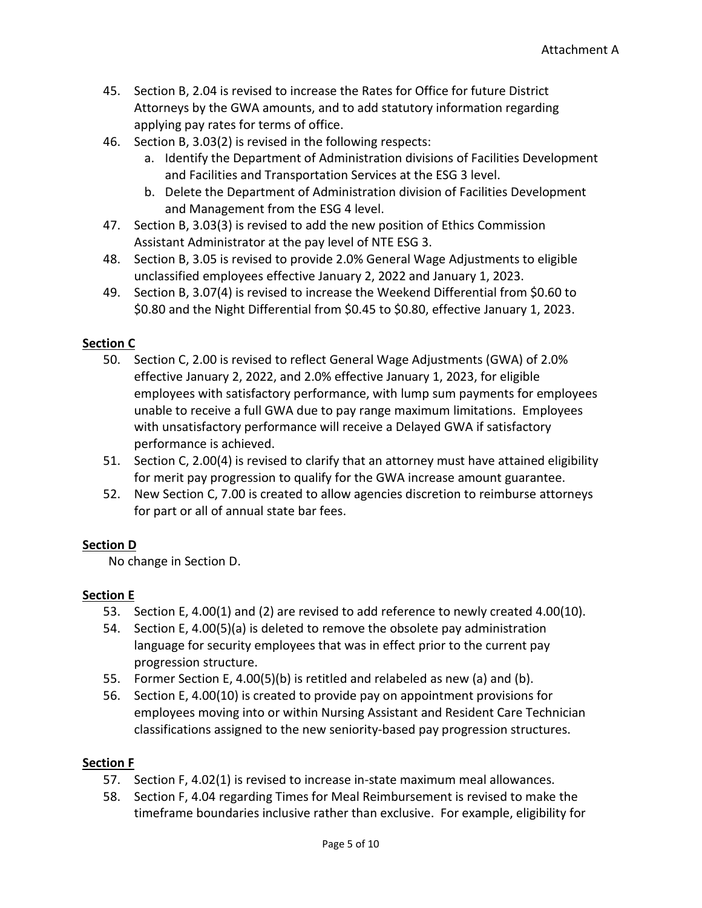- 45. Section B, 2.04 is revised to increase the Rates for Office for future District Attorneys by the GWA amounts, and to add statutory information regarding applying pay rates for terms of office.
- 46. Section B, 3.03(2) is revised in the following respects:
	- a. Identify the Department of Administration divisions of Facilities Development and Facilities and Transportation Services at the ESG 3 level.
	- b. Delete the Department of Administration division of Facilities Development and Management from the ESG 4 level.
- 47. Section B, 3.03(3) is revised to add the new position of Ethics Commission Assistant Administrator at the pay level of NTE ESG 3.
- 48. Section B, 3.05 is revised to provide 2.0% General Wage Adjustments to eligible unclassified employees effective January 2, 2022 and January 1, 2023.
- 49. Section B, 3.07(4) is revised to increase the Weekend Differential from \$0.60 to \$0.80 and the Night Differential from \$0.45 to \$0.80, effective January 1, 2023.

### **Section C**

- 50. Section C, 2.00 is revised to reflect General Wage Adjustments (GWA) of 2.0% effective January 2, 2022, and 2.0% effective January 1, 2023, for eligible employees with satisfactory performance, with lump sum payments for employees unable to receive a full GWA due to pay range maximum limitations. Employees with unsatisfactory performance will receive a Delayed GWA if satisfactory performance is achieved.
- 51. Section C, 2.00(4) is revised to clarify that an attorney must have attained eligibility for merit pay progression to qualify for the GWA increase amount guarantee.
- 52. New Section C, 7.00 is created to allow agencies discretion to reimburse attorneys for part or all of annual state bar fees.

# **Section D**

No change in Section D.

#### **Section E**

- 53. Section E, 4.00(1) and (2) are revised to add reference to newly created 4.00(10).
- 54. Section E, 4.00(5)(a) is deleted to remove the obsolete pay administration language for security employees that was in effect prior to the current pay progression structure.
- 55. Former Section E, 4.00(5)(b) is retitled and relabeled as new (a) and (b).
- 56. Section E, 4.00(10) is created to provide pay on appointment provisions for employees moving into or within Nursing Assistant and Resident Care Technician classifications assigned to the new seniority-based pay progression structures.

#### **Section F**

- 57. Section F, 4.02(1) is revised to increase in-state maximum meal allowances.
- 58. Section F, 4.04 regarding Times for Meal Reimbursement is revised to make the timeframe boundaries inclusive rather than exclusive. For example, eligibility for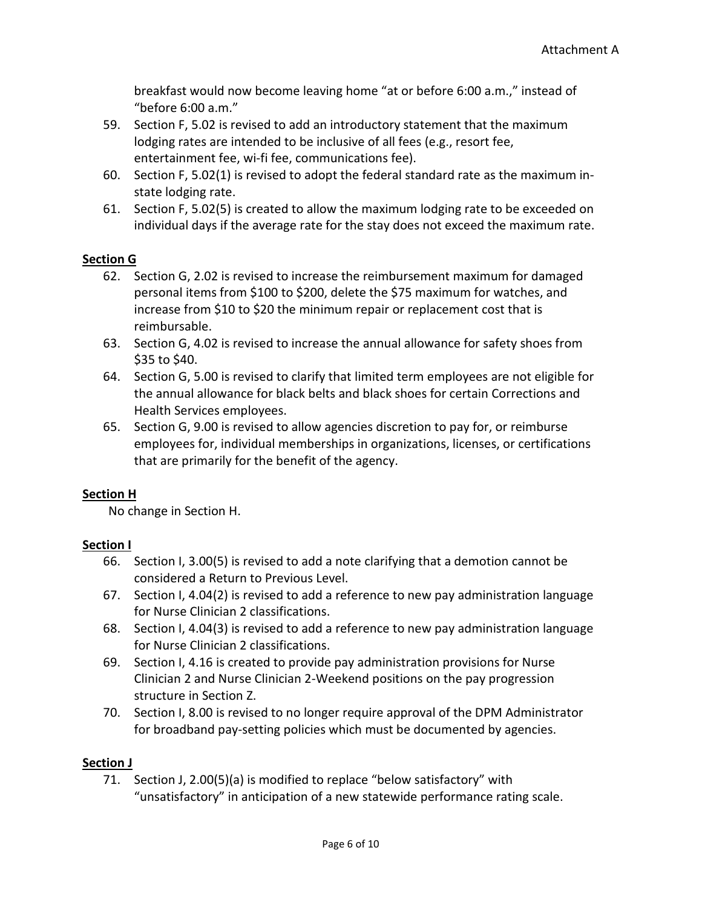breakfast would now become leaving home "at or before 6:00 a.m.," instead of "before 6:00 a.m."

- 59. Section F, 5.02 is revised to add an introductory statement that the maximum lodging rates are intended to be inclusive of all fees (e.g., resort fee, entertainment fee, wi-fi fee, communications fee).
- 60. Section F, 5.02(1) is revised to adopt the federal standard rate as the maximum instate lodging rate.
- 61. Section F, 5.02(5) is created to allow the maximum lodging rate to be exceeded on individual days if the average rate for the stay does not exceed the maximum rate.

# **Section G**

- 62. Section G, 2.02 is revised to increase the reimbursement maximum for damaged personal items from \$100 to \$200, delete the \$75 maximum for watches, and increase from \$10 to \$20 the minimum repair or replacement cost that is reimbursable.
- 63. Section G, 4.02 is revised to increase the annual allowance for safety shoes from  $$35$  to  $$40.$
- 64. Section G, 5.00 is revised to clarify that limited term employees are not eligible for the annual allowance for black belts and black shoes for certain Corrections and Health Services employees.
- 65. Section G, 9.00 is revised to allow agencies discretion to pay for, or reimburse employees for, individual memberships in organizations, licenses, or certifications that are primarily for the benefit of the agency.

# **Section H**

No change in Section H.

# **Section I**

- 66. Section I, 3.00(5) is revised to add a note clarifying that a demotion cannot be considered a Return to Previous Level.
- 67. Section I, 4.04(2) is revised to add a reference to new pay administration language for Nurse Clinician 2 classifications.
- 68. Section I, 4.04(3) is revised to add a reference to new pay administration language for Nurse Clinician 2 classifications.
- 69. Section I, 4.16 is created to provide pay administration provisions for Nurse Clinician 2 and Nurse Clinician 2-Weekend positions on the pay progression structure in Section Z.
- 70. Section I, 8.00 is revised to no longer require approval of the DPM Administrator for broadband pay-setting policies which must be documented by agencies.

# **Section J**

71. Section J, 2.00(5)(a) is modified to replace "below satisfactory" with "unsatisfactory" in anticipation of a new statewide performance rating scale.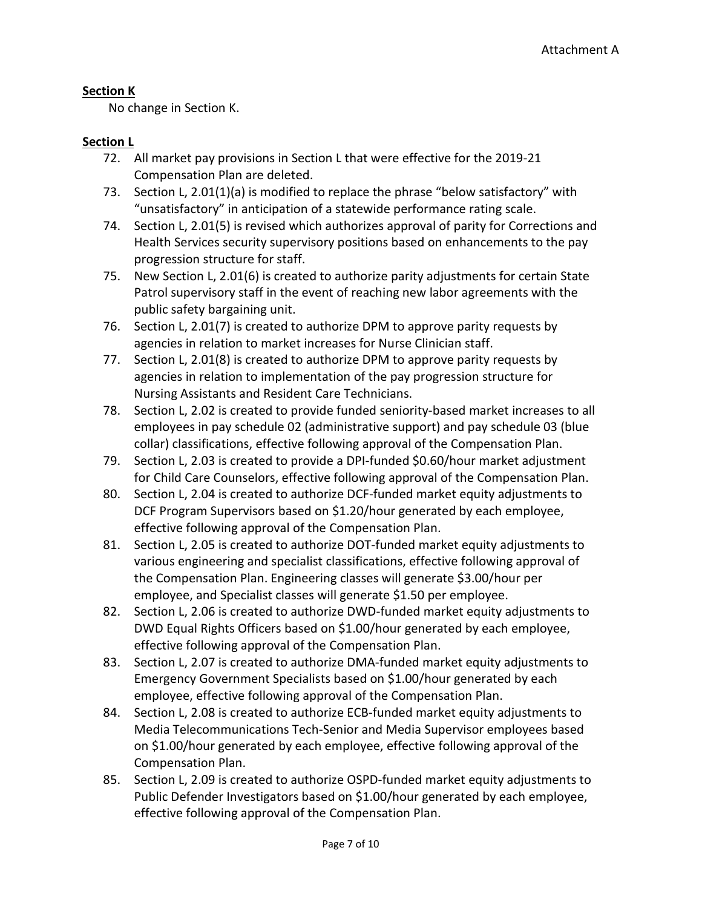### **Section K**

No change in Section K.

#### **Section L**

- 72. All market pay provisions in Section L that were effective for the 2019-21 Compensation Plan are deleted.
- 73. Section L, 2.01(1)(a) is modified to replace the phrase "below satisfactory" with "unsatisfactory" in anticipation of a statewide performance rating scale.
- 74. Section L, 2.01(5) is revised which authorizes approval of parity for Corrections and Health Services security supervisory positions based on enhancements to the pay progression structure for staff.
- 75. New Section L, 2.01(6) is created to authorize parity adjustments for certain State Patrol supervisory staff in the event of reaching new labor agreements with the public safety bargaining unit.
- 76. Section L, 2.01(7) is created to authorize DPM to approve parity requests by agencies in relation to market increases for Nurse Clinician staff.
- 77. Section L, 2.01(8) is created to authorize DPM to approve parity requests by agencies in relation to implementation of the pay progression structure for Nursing Assistants and Resident Care Technicians.
- 78. Section L, 2.02 is created to provide funded seniority-based market increases to all employees in pay schedule 02 (administrative support) and pay schedule 03 (blue collar) classifications, effective following approval of the Compensation Plan.
- 79. Section L, 2.03 is created to provide a DPI-funded \$0.60/hour market adjustment for Child Care Counselors, effective following approval of the Compensation Plan.
- 80. Section L, 2.04 is created to authorize DCF-funded market equity adjustments to DCF Program Supervisors based on \$1.20/hour generated by each employee, effective following approval of the Compensation Plan.
- 81. Section L, 2.05 is created to authorize DOT-funded market equity adjustments to various engineering and specialist classifications, effective following approval of the Compensation Plan. Engineering classes will generate \$3.00/hour per employee, and Specialist classes will generate \$1.50 per employee.
- 82. Section L, 2.06 is created to authorize DWD-funded market equity adjustments to DWD Equal Rights Officers based on \$1.00/hour generated by each employee, effective following approval of the Compensation Plan.
- 83. Section L, 2.07 is created to authorize DMA-funded market equity adjustments to Emergency Government Specialists based on \$1.00/hour generated by each employee, effective following approval of the Compensation Plan.
- 84. Section L, 2.08 is created to authorize ECB-funded market equity adjustments to Media Telecommunications Tech-Senior and Media Supervisor employees based on \$1.00/hour generated by each employee, effective following approval of the Compensation Plan.
- 85. Section L, 2.09 is created to authorize OSPD-funded market equity adjustments to Public Defender Investigators based on \$1.00/hour generated by each employee, effective following approval of the Compensation Plan.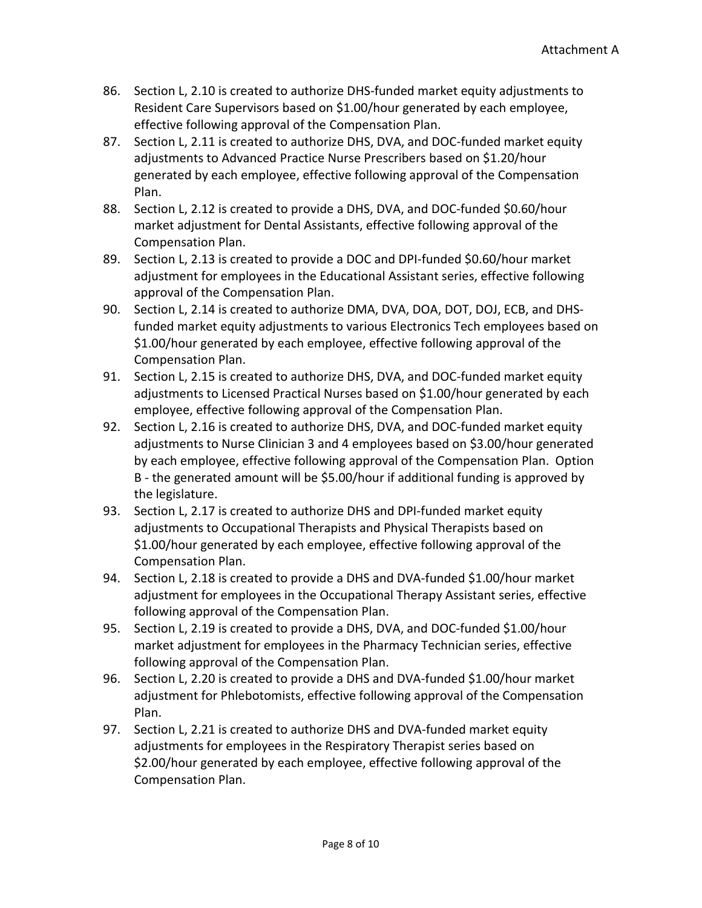- 86. Section L, 2.10 is created to authorize DHS-funded market equity adjustments to Resident Care Supervisors based on \$1.00/hour generated by each employee, effective following approval of the Compensation Plan.
- 87. Section L, 2.11 is created to authorize DHS, DVA, and DOC-funded market equity adjustments to Advanced Practice Nurse Prescribers based on \$1.20/hour generated by each employee, effective following approval of the Compensation Plan.
- 88. Section L, 2.12 is created to provide a DHS, DVA, and DOC-funded \$0.60/hour market adjustment for Dental Assistants, effective following approval of the Compensation Plan.
- 89. Section L, 2.13 is created to provide a DOC and DPI-funded \$0.60/hour market adjustment for employees in the Educational Assistant series, effective following approval of the Compensation Plan.
- 90. Section L, 2.14 is created to authorize DMA, DVA, DOA, DOT, DOJ, ECB, and DHSfunded market equity adjustments to various Electronics Tech employees based on \$1.00/hour generated by each employee, effective following approval of the Compensation Plan.
- 91. Section L, 2.15 is created to authorize DHS, DVA, and DOC-funded market equity adjustments to Licensed Practical Nurses based on \$1.00/hour generated by each employee, effective following approval of the Compensation Plan.
- 92. Section L, 2.16 is created to authorize DHS, DVA, and DOC-funded market equity adjustments to Nurse Clinician 3 and 4 employees based on \$3.00/hour generated by each employee, effective following approval of the Compensation Plan. Option B - the generated amount will be \$5.00/hour if additional funding is approved by the legislature.
- 93. Section L, 2.17 is created to authorize DHS and DPI-funded market equity adjustments to Occupational Therapists and Physical Therapists based on \$1.00/hour generated by each employee, effective following approval of the Compensation Plan.
- 94. Section L, 2.18 is created to provide a DHS and DVA-funded \$1.00/hour market adjustment for employees in the Occupational Therapy Assistant series, effective following approval of the Compensation Plan.
- 95. Section L, 2.19 is created to provide a DHS, DVA, and DOC-funded \$1.00/hour market adjustment for employees in the Pharmacy Technician series, effective following approval of the Compensation Plan.
- 96. Section L, 2.20 is created to provide a DHS and DVA-funded \$1.00/hour market adjustment for Phlebotomists, effective following approval of the Compensation Plan.
- 97. Section L, 2.21 is created to authorize DHS and DVA-funded market equity adjustments for employees in the Respiratory Therapist series based on \$2.00/hour generated by each employee, effective following approval of the Compensation Plan.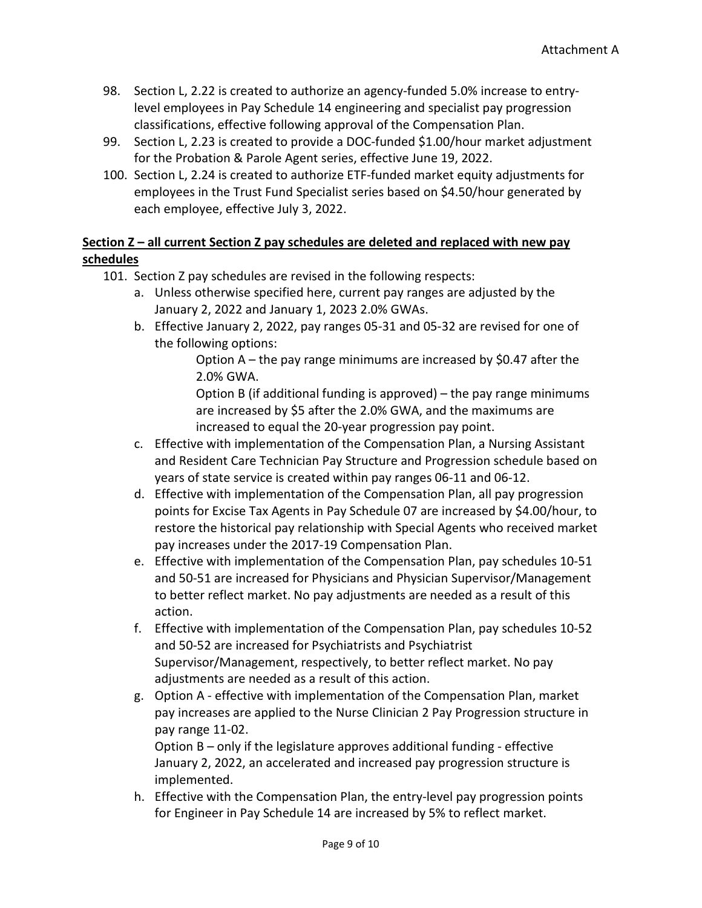- 98. Section L, 2.22 is created to authorize an agency-funded 5.0% increase to entrylevel employees in Pay Schedule 14 engineering and specialist pay progression classifications, effective following approval of the Compensation Plan.
- 99. Section L, 2.23 is created to provide a DOC-funded \$1.00/hour market adjustment for the Probation & Parole Agent series, effective June 19, 2022.
- 100. Section L, 2.24 is created to authorize ETF-funded market equity adjustments for employees in the Trust Fund Specialist series based on \$4.50/hour generated by each employee, effective July 3, 2022.

# **Section Z – all current Section Z pay schedules are deleted and replaced with new pay schedules**

- 101. Section Z pay schedules are revised in the following respects:
	- a. Unless otherwise specified here, current pay ranges are adjusted by the January 2, 2022 and January 1, 2023 2.0% GWAs.
	- b. Effective January 2, 2022, pay ranges 05-31 and 05-32 are revised for one of the following options:

Option A – the pay range minimums are increased by \$0.47 after the 2.0% GWA.

Option B (if additional funding is approved) – the pay range minimums are increased by \$5 after the 2.0% GWA, and the maximums are increased to equal the 20-year progression pay point.

- c. Effective with implementation of the Compensation Plan, a Nursing Assistant and Resident Care Technician Pay Structure and Progression schedule based on years of state service is created within pay ranges 06-11 and 06-12.
- d. Effective with implementation of the Compensation Plan, all pay progression points for Excise Tax Agents in Pay Schedule 07 are increased by \$4.00/hour, to restore the historical pay relationship with Special Agents who received market pay increases under the 2017-19 Compensation Plan.
- e. Effective with implementation of the Compensation Plan, pay schedules 10-51 and 50-51 are increased for Physicians and Physician Supervisor/Management to better reflect market. No pay adjustments are needed as a result of this action.
- f. Effective with implementation of the Compensation Plan, pay schedules 10-52 and 50-52 are increased for Psychiatrists and Psychiatrist Supervisor/Management, respectively, to better reflect market. No pay adjustments are needed as a result of this action.
- g. Option A effective with implementation of the Compensation Plan, market pay increases are applied to the Nurse Clinician 2 Pay Progression structure in pay range 11-02.

Option B – only if the legislature approves additional funding - effective January 2, 2022, an accelerated and increased pay progression structure is implemented.

h. Effective with the Compensation Plan, the entry-level pay progression points for Engineer in Pay Schedule 14 are increased by 5% to reflect market.